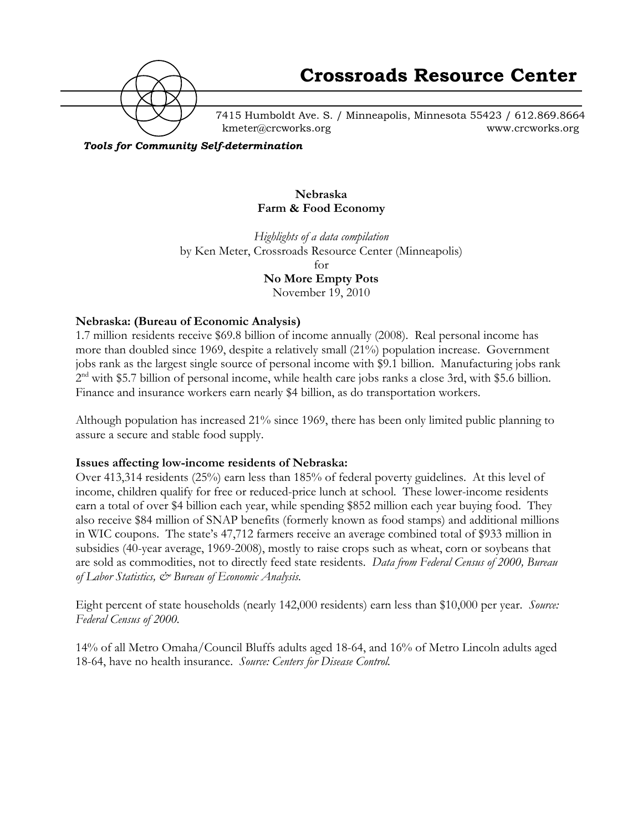

7415 Humboldt Ave. S. / Minneapolis, Minnesota 55423 / 612.869.8664 kmeter@crcworks.org www.crcworks.org

*Tools for Community Self-determination*

#### **Nebraska Farm & Food Economy**

*Highlights of a data compilation* by Ken Meter, Crossroads Resource Center (Minneapolis) for **No More Empty Pots**

November 19, 2010

#### **Nebraska: (Bureau of Economic Analysis)**

1.7 million residents receive \$69.8 billion of income annually (2008). Real personal income has more than doubled since 1969, despite a relatively small (21%) population increase. Government jobs rank as the largest single source of personal income with \$9.1 billion. Manufacturing jobs rank  $2<sup>nd</sup>$  with \$5.7 billion of personal income, while health care jobs ranks a close 3rd, with \$5.6 billion. Finance and insurance workers earn nearly \$4 billion, as do transportation workers.

Although population has increased 21% since 1969, there has been only limited public planning to assure a secure and stable food supply.

#### **Issues affecting low-income residents of Nebraska:**

Over 413,314 residents (25%) earn less than 185% of federal poverty guidelines. At this level of income, children qualify for free or reduced-price lunch at school. These lower-income residents earn a total of over \$4 billion each year, while spending \$852 million each year buying food. They also receive \$84 million of SNAP benefits (formerly known as food stamps) and additional millions in WIC coupons. The state's 47,712 farmers receive an average combined total of \$933 million in subsidies (40-year average, 1969-2008), mostly to raise crops such as wheat, corn or soybeans that are sold as commodities, not to directly feed state residents. *Data from Federal Census of 2000, Bureau of Labor Statistics, & Bureau of Economic Analysis.*

Eight percent of state households (nearly 142,000 residents) earn less than \$10,000 per year. *Source: Federal Census of 2000.*

14% of all Metro Omaha/Council Bluffs adults aged 18-64, and 16% of Metro Lincoln adults aged 18-64, have no health insurance. *Source: Centers for Disease Control.*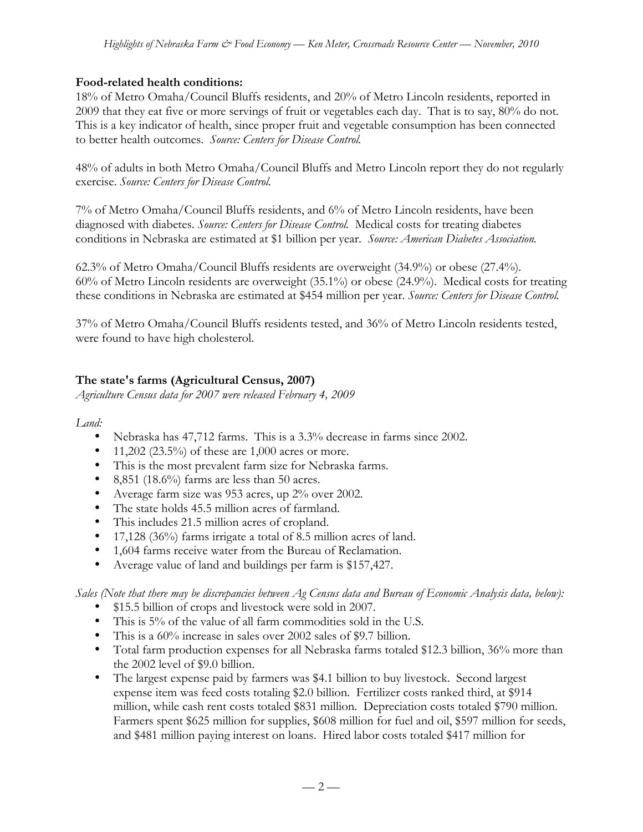## **Food-related health conditions:**

18% of Metro Omaha/Council Bluffs residents, and 20% of Metro Lincoln residents, reported in 2009 that they eat five or more servings of fruit or vegetables each day. That is to say, 80% do not. This is a key indicator of health, since proper fruit and vegetable consumption has been connected to better health outcomes. *Source: Centers for Disease Control.*

48% of adults in both Metro Omaha/Council Bluffs and Metro Lincoln report they do not regularly exercise. *Source: Centers for Disease Control.*

7% of Metro Omaha/Council Bluffs residents, and 6% of Metro Lincoln residents, have been diagnosed with diabetes. *Source: Centers for Disease Control.* Medical costs for treating diabetes conditions in Nebraska are estimated at \$1 billion per year. *Source: American Diabetes Association.*

62.3% of Metro Omaha/Council Bluffs residents are overweight (34.9%) or obese (27.4%). 60% of Metro Lincoln residents are overweight (35.1%) or obese (24.9%). Medical costs for treating these conditions in Nebraska are estimated at \$454 million per year. *Source: Centers for Disease Control.*

37% of Metro Omaha/Council Bluffs residents tested, and 36% of Metro Lincoln residents tested, were found to have high cholesterol.

# **The state's farms (Agricultural Census, 2007)**

*Agriculture Census data for 2007 were released February 4, 2009*

#### *Land:*

- Nebraska has 47,712 farms. This is a 3.3% decrease in farms since 2002.
- 11,202 (23.5%) of these are  $1,000$  acres or more.
- This is the most prevalent farm size for Nebraska farms.
- 8,851 (18.6%) farms are less than 50 acres.
- Average farm size was 953 acres, up 2% over 2002.
- The state holds 45.5 million acres of farmland.
- This includes 21.5 million acres of cropland.
- 17,128 (36%) farms irrigate a total of 8.5 million acres of land.
- 1,604 farms receive water from the Bureau of Reclamation.
- Average value of land and buildings per farm is \$157,427.

*Sales (Note that there may be discrepancies between Ag Census data and Bureau of Economic Analysis data, below):*

- \$15.5 billion of crops and livestock were sold in 2007.
- This is 5% of the value of all farm commodities sold in the U.S.
- This is a 60% increase in sales over 2002 sales of \$9.7 billion.
- Total farm production expenses for all Nebraska farms totaled \$12.3 billion, 36% more than the 2002 level of \$9.0 billion.
- The largest expense paid by farmers was \$4.1 billion to buy livestock. Second largest expense item was feed costs totaling \$2.0 billion. Fertilizer costs ranked third, at \$914 million, while cash rent costs totaled \$831 million. Depreciation costs totaled \$790 million. Farmers spent \$625 million for supplies, \$608 million for fuel and oil, \$597 million for seeds, and \$481 million paying interest on loans. Hired labor costs totaled \$417 million for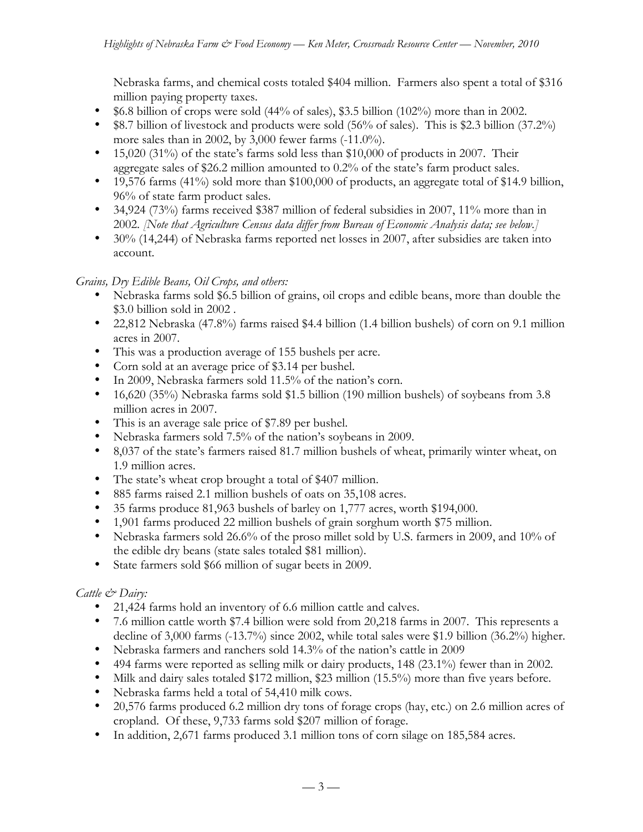Nebraska farms, and chemical costs totaled \$404 million. Farmers also spent a total of \$316 million paying property taxes.

- \$6.8 billion of crops were sold (44% of sales), \$3.5 billion (102%) more than in 2002.
- \$8.7 billion of livestock and products were sold (56% of sales). This is \$2.3 billion (37.2%) more sales than in 2002, by 3,000 fewer farms (-11.0%).
- 15,020 (31%) of the state's farms sold less than \$10,000 of products in 2007. Their aggregate sales of \$26.2 million amounted to 0.2% of the state's farm product sales.
- 19,576 farms  $(41\%)$  sold more than \$100,000 of products, an aggregate total of \$14.9 billion, 96% of state farm product sales.
- 34,924 (73%) farms received \$387 million of federal subsidies in 2007, 11% more than in 2002. *[Note that Agriculture Census data differ from Bureau of Economic Analysis data; see below.]*
- 30% (14,244) of Nebraska farms reported net losses in 2007, after subsidies are taken into account.

## *Grains, Dry Edible Beans, Oil Crops, and others:*

- Nebraska farms sold \$6.5 billion of grains, oil crops and edible beans, more than double the \$3.0 billion sold in 2002 .
- 22,812 Nebraska (47.8%) farms raised \$4.4 billion (1.4 billion bushels) of corn on 9.1 million acres in 2007.
- This was a production average of 155 bushels per acre.
- Corn sold at an average price of \$3.14 per bushel.
- In 2009, Nebraska farmers sold 11.5% of the nation's corn.
- 16,620 (35%) Nebraska farms sold \$1.5 billion (190 million bushels) of soybeans from 3.8 million acres in 2007.
- This is an average sale price of \$7.89 per bushel.
- Nebraska farmers sold 7.5% of the nation's soybeans in 2009.
- 8,037 of the state's farmers raised 81.7 million bushels of wheat, primarily winter wheat, on 1.9 million acres.
- The state's wheat crop brought a total of \$407 million.
- 885 farms raised 2.1 million bushels of oats on 35,108 acres.
- 35 farms produce 81,963 bushels of barley on 1,777 acres, worth \$194,000.
- 1,901 farms produced 22 million bushels of grain sorghum worth \$75 million.
- Nebraska farmers sold 26.6% of the proso millet sold by U.S. farmers in 2009, and 10% of the edible dry beans (state sales totaled \$81 million).
- State farmers sold \$66 million of sugar beets in 2009.

# *Cattle & Dairy:*

- 21,424 farms hold an inventory of 6.6 million cattle and calves.
- 7.6 million cattle worth \$7.4 billion were sold from 20,218 farms in 2007. This represents a decline of 3,000 farms (-13.7%) since 2002, while total sales were \$1.9 billion (36.2%) higher.
- Nebraska farmers and ranchers sold 14.3% of the nation's cattle in 2009
- 494 farms were reported as selling milk or dairy products, 148 (23.1%) fewer than in 2002.
- Milk and dairy sales totaled \$172 million, \$23 million (15.5%) more than five years before.
- Nebraska farms held a total of 54,410 milk cows.
- 20,576 farms produced 6.2 million dry tons of forage crops (hay, etc.) on 2.6 million acres of cropland. Of these, 9,733 farms sold \$207 million of forage.
- In addition, 2,671 farms produced 3.1 million tons of corn silage on 185,584 acres.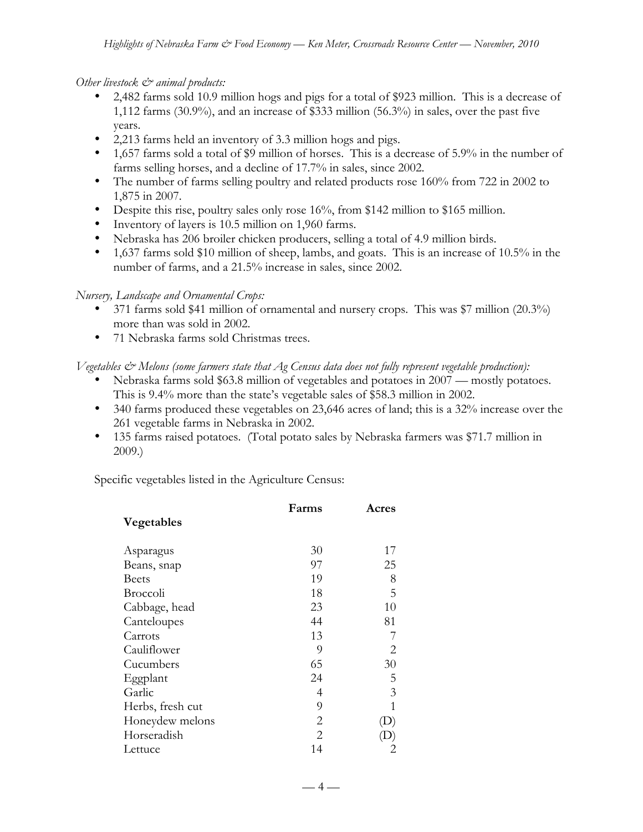#### *Other livestock & animal products:*

- 2,482 farms sold 10.9 million hogs and pigs for a total of \$923 million. This is a decrease of 1,112 farms (30.9%), and an increase of \$333 million (56.3%) in sales, over the past five years.
- 2,213 farms held an inventory of 3.3 million hogs and pigs.
- 1,657 farms sold a total of \$9 million of horses. This is a decrease of 5.9% in the number of farms selling horses, and a decline of 17.7% in sales, since 2002.
- The number of farms selling poultry and related products rose 160% from 722 in 2002 to 1,875 in 2007.
- Despite this rise, poultry sales only rose 16%, from \$142 million to \$165 million.
- Inventory of layers is 10.5 million on 1,960 farms.
- Nebraska has 206 broiler chicken producers, selling a total of 4.9 million birds.
- 1,637 farms sold \$10 million of sheep, lambs, and goats. This is an increase of 10.5% in the number of farms, and a 21.5% increase in sales, since 2002.

#### *Nursery, Landscape and Ornamental Crops:*

- 371 farms sold \$41 million of ornamental and nursery crops. This was \$7 million (20.3%) more than was sold in 2002.
- 71 Nebraska farms sold Christmas trees.

## *Vegetables & Melons (some farmers state that Ag Census data does not fully represent vegetable production):*

- Nebraska farms sold \$63.8 million of vegetables and potatoes in 2007 mostly potatoes. This is 9.4% more than the state's vegetable sales of \$58.3 million in 2002.
- 340 farms produced these vegetables on 23,646 acres of land; this is a 32% increase over the 261 vegetable farms in Nebraska in 2002.
- 135 farms raised potatoes. (Total potato sales by Nebraska farmers was \$71.7 million in 2009.)

Specific vegetables listed in the Agriculture Census:

|                  | Farms                 | Acres |
|------------------|-----------------------|-------|
| Vegetables       |                       |       |
| Asparagus        | 30                    | 17    |
| Beans, snap      | 97                    | 25    |
| Beets            | 19                    | 8     |
| <b>Broccoli</b>  | 18                    | 5     |
| Cabbage, head    | 23                    | 10    |
| Canteloupes      | 44                    | 81    |
| Carrots          | 13                    | 7     |
| Cauliflower      | 9                     | 2     |
| Cucumbers        | 65                    | 30    |
| Eggplant         | 24                    | 5     |
| Garlic           | 4                     | 3     |
| Herbs, fresh cut | 9                     | 1     |
| Honeydew melons  | 2                     |       |
| Horseradish      | $\mathcal{D}_{\cdot}$ |       |
| Lettuce          | 14                    |       |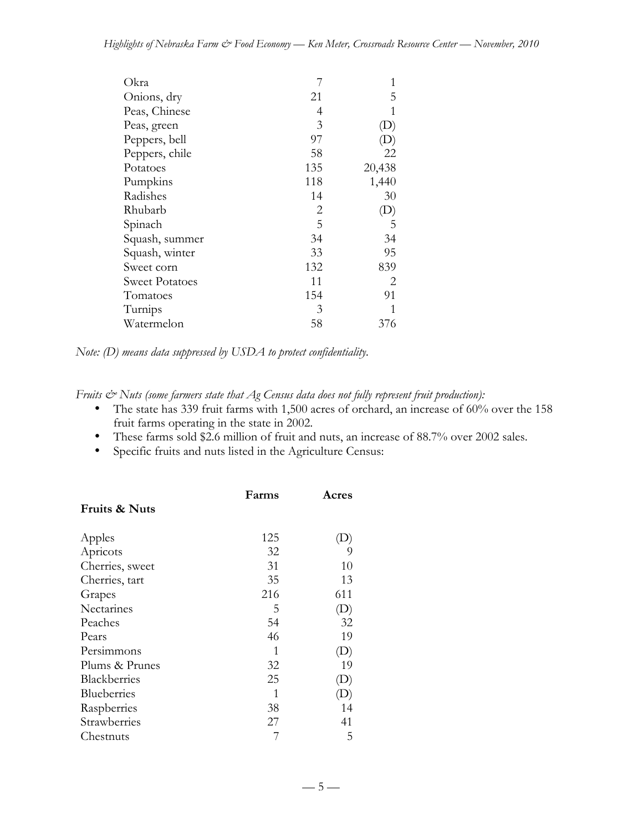| Okra           |     | 1                          |
|----------------|-----|----------------------------|
| Onions, dry    | 21  | 5                          |
| Peas, Chinese  | 4   | 1                          |
| Peas, green    | 3   | $\left( \mathrm{L}\right)$ |
| Peppers, bell  | 97  | $\left( \mathrm{D}\right)$ |
| Peppers, chile | 58  | 22                         |
| Potatoes       | 135 | 20,438                     |
| Pumpkins       | 118 | 1,440                      |
| Radishes       | 14  | 30                         |
| Rhubarb        | 2   | (D)                        |
| Spinach        | 5   | 5                          |
| Squash, summer | 34  | 34                         |
| Squash, winter | 33  | 95                         |
| Sweet corn     | 132 | 839                        |
| Sweet Potatoes | 11  | 2                          |
| Tomatoes       | 154 | 91                         |
| Turnips        | 3   | 1                          |
| Watermelon     | 58  | 376                        |

*Note: (D) means data suppressed by USDA to protect confidentiality.*

*Fruits & Nuts (some farmers state that Ag Census data does not fully represent fruit production):*

- The state has 339 fruit farms with 1,500 acres of orchard, an increase of 60% over the 158 fruit farms operating in the state in 2002.
- These farms sold \$2.6 million of fruit and nuts, an increase of 88.7% over 2002 sales.<br>• Specific fruits and nuts listed in the Agriculture Census:
- Specific fruits and nuts listed in the Agriculture Census:

|                          | Farms | Acres                      |
|--------------------------|-------|----------------------------|
| <b>Fruits &amp; Nuts</b> |       |                            |
| Apples                   | 125   | (D)                        |
| Apricots                 | 32    | 9                          |
| Cherries, sweet          | 31    | 10                         |
| Cherries, tart           | 35    | 13                         |
| Grapes                   | 216   | 611                        |
| Nectarines               | 5     | $\left( \mathrm{D}\right)$ |
| Peaches                  | 54    | 32                         |
| Pears                    | 46    | 19                         |
| Persimmons               | 1     | $\left( \mathrm{D}\right)$ |
| Plums & Prunes           | 32    | 19                         |
| Blackberries             | 25    | $\left( \mathrm{D}\right)$ |
| Blueberries              | 1     | D)                         |
| Raspberries              | 38    | 14                         |
| Strawberries             | 27    | 41                         |
| Chestnuts                |       | 5                          |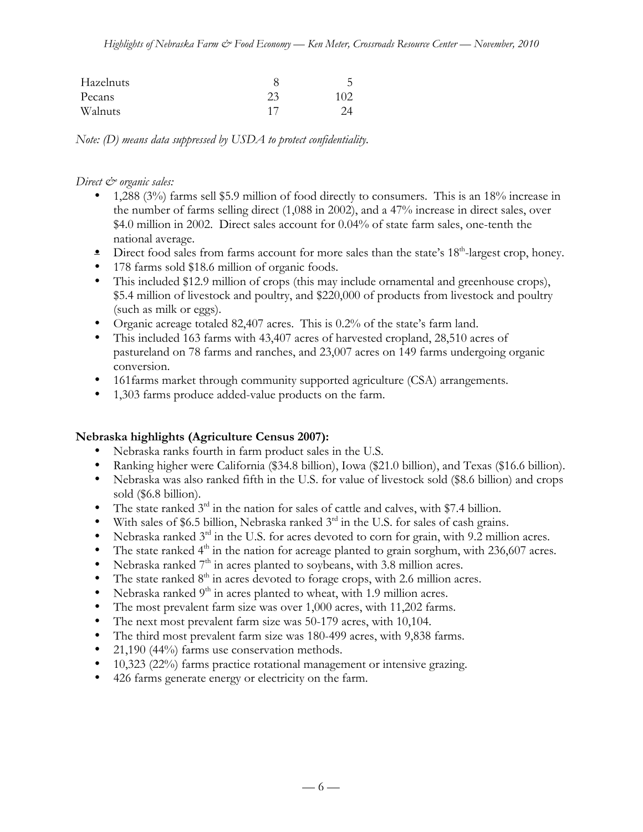| Hazelnuts |    | ╮   |
|-----------|----|-----|
| Pecans    | 23 | 102 |
| Walnuts   |    |     |

*Note: (D) means data suppressed by USDA to protect confidentiality.*

*Direct & organic sales:*

- 1,288 (3%) farms sell \$5.9 million of food directly to consumers. This is an 18% increase in the number of farms selling direct (1,088 in 2002), and a 47% increase in direct sales, over \$4.0 million in 2002. Direct sales account for 0.04% of state farm sales, one-tenth the national average.
- $\bullet$  Direct food sales from farms account for more sales than the state's 18<sup>th</sup>-largest crop, honey.
- 178 farms sold \$18.6 million of organic foods.
- This included \$12.9 million of crops (this may include ornamental and greenhouse crops), \$5.4 million of livestock and poultry, and \$220,000 of products from livestock and poultry (such as milk or eggs).
- Organic acreage totaled 82,407 acres. This is 0.2% of the state's farm land.
- This included 163 farms with 43,407 acres of harvested cropland, 28,510 acres of pastureland on 78 farms and ranches, and 23,007 acres on 149 farms undergoing organic conversion.
- 161farms market through community supported agriculture (CSA) arrangements.
- 1,303 farms produce added-value products on the farm.

#### **Nebraska highlights (Agriculture Census 2007):**

- Nebraska ranks fourth in farm product sales in the U.S.
- Ranking higher were California (\$34.8 billion), Iowa (\$21.0 billion), and Texas (\$16.6 billion).
- Nebraska was also ranked fifth in the U.S. for value of livestock sold (\$8.6 billion) and crops sold (\$6.8 billion).
- The state ranked  $3<sup>rd</sup>$  in the nation for sales of cattle and calves, with \$7.4 billion.
- With sales of \$6.5 billion, Nebraska ranked  $3<sup>rd</sup>$  in the U.S. for sales of cash grains.
- Nebraska ranked  $3<sup>rd</sup>$  in the U.S. for acres devoted to corn for grain, with 9.2 million acres.
- The state ranked  $4<sup>th</sup>$  in the nation for acreage planted to grain sorghum, with 236,607 acres.
- Nebraska ranked  $7<sup>th</sup>$  in acres planted to soybeans, with 3.8 million acres.
- The state ranked  $8<sup>th</sup>$  in acres devoted to forage crops, with 2.6 million acres.
- Nebraska ranked  $9<sup>th</sup>$  in acres planted to wheat, with 1.9 million acres.
- The most prevalent farm size was over 1,000 acres, with 11,202 farms.
- The next most prevalent farm size was 50-179 acres, with 10,104.
- The third most prevalent farm size was 180-499 acres, with 9,838 farms.
- 21,190 (44%) farms use conservation methods.
- 10,323 (22%) farms practice rotational management or intensive grazing.
- 426 farms generate energy or electricity on the farm.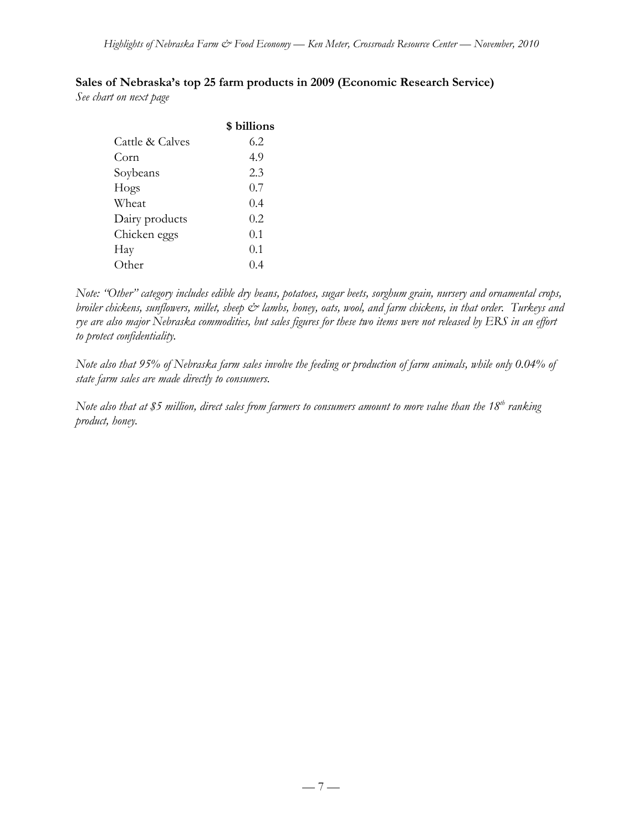# **Sales of Nebraska's top 25 farm products in 2009 (Economic Research Service)**

*See chart on next page*

| \$ billions |
|-------------|
| 6.2         |
| 4.9         |
| 2.3         |
| 0.7         |
| 0.4         |
| 0.2         |
| 0.1         |
| 0.1         |
| (1, 4)      |
|             |

*Note: "Other" category includes edible dry beans, potatoes, sugar beets, sorghum grain, nursery and ornamental crops, broiler chickens, sunflowers, millet, sheep*  $\breve{c}$  *lambs, honey, oats, wool, and farm chickens, in that order. Turkeys and rye are also major Nebraska commodities, but sales figures for these two items were not released by ERS in an effort to protect confidentiality.*

*Note also that 95% of Nebraska farm sales involve the feeding or production of farm animals, while only 0.04% of state farm sales are made directly to consumers.*

*Note also that at \$5 million, direct sales from farmers to consumers amount to more value than the 18th ranking product, honey.*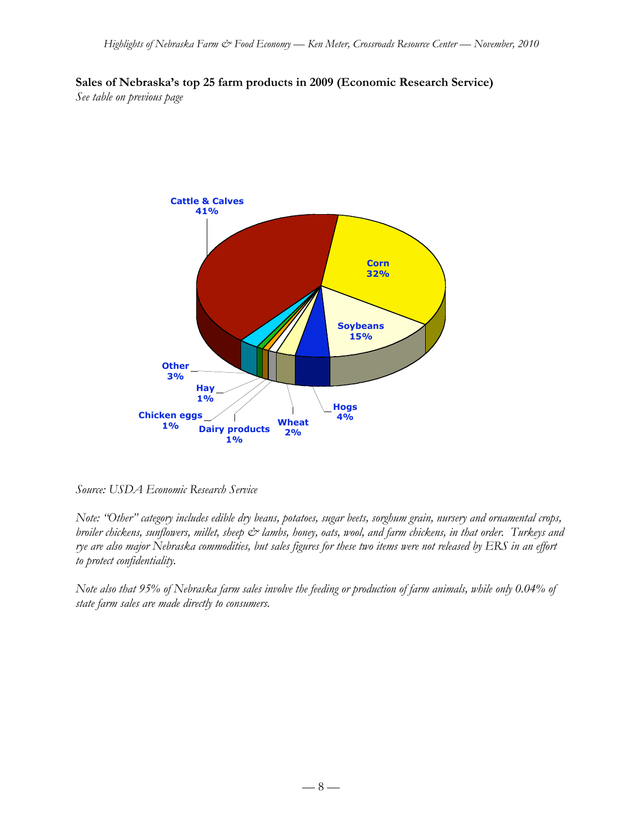**Sales of Nebraska's top 25 farm products in 2009 (Economic Research Service)** *See table on previous page*



*Source: USDA Economic Research Service*

*Note: "Other" category includes edible dry beans, potatoes, sugar beets, sorghum grain, nursery and ornamental crops, broiler chickens, sunflowers, millet, sheep & lambs, honey, oats, wool, and farm chickens, in that order. Turkeys and rye are also major Nebraska commodities, but sales figures for these two items were not released by ERS in an effort to protect confidentiality.*

*Note also that 95% of Nebraska farm sales involve the feeding or production of farm animals, while only 0.04% of state farm sales are made directly to consumers.*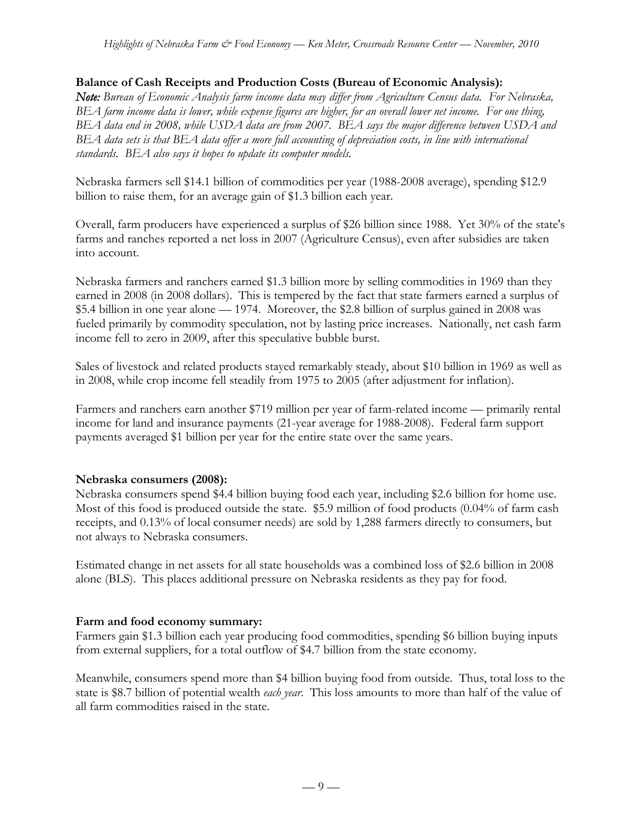## **Balance of Cash Receipts and Production Costs (Bureau of Economic Analysis):**

*Note: Bureau of Economic Analysis farm income data may differ from Agriculture Census data. For Nebraska, BEA farm income data is lower, while expense figures are higher, for an overall lower net income. For one thing, BEA data end in 2008, while USDA data are from 2007. BEA says the major difference between USDA and BEA data sets is that BEA data offer a more full accounting of depreciation costs, in line with international standards. BEA also says it hopes to update its computer models.*

Nebraska farmers sell \$14.1 billion of commodities per year (1988-2008 average), spending \$12.9 billion to raise them, for an average gain of \$1.3 billion each year.

Overall, farm producers have experienced a surplus of \$26 billion since 1988. Yet 30% of the state's farms and ranches reported a net loss in 2007 (Agriculture Census), even after subsidies are taken into account.

Nebraska farmers and ranchers earned \$1.3 billion more by selling commodities in 1969 than they earned in 2008 (in 2008 dollars). This is tempered by the fact that state farmers earned a surplus of \$5.4 billion in one year alone — 1974. Moreover, the \$2.8 billion of surplus gained in 2008 was fueled primarily by commodity speculation, not by lasting price increases. Nationally, net cash farm income fell to zero in 2009, after this speculative bubble burst.

Sales of livestock and related products stayed remarkably steady, about \$10 billion in 1969 as well as in 2008, while crop income fell steadily from 1975 to 2005 (after adjustment for inflation).

Farmers and ranchers earn another \$719 million per year of farm-related income — primarily rental income for land and insurance payments (21-year average for 1988-2008). Federal farm support payments averaged \$1 billion per year for the entire state over the same years.

#### **Nebraska consumers (2008):**

Nebraska consumers spend \$4.4 billion buying food each year, including \$2.6 billion for home use. Most of this food is produced outside the state. \$5.9 million of food products (0.04% of farm cash receipts, and 0.13% of local consumer needs) are sold by 1,288 farmers directly to consumers, but not always to Nebraska consumers.

Estimated change in net assets for all state households was a combined loss of \$2.6 billion in 2008 alone (BLS). This places additional pressure on Nebraska residents as they pay for food.

#### **Farm and food economy summary:**

Farmers gain \$1.3 billion each year producing food commodities, spending \$6 billion buying inputs from external suppliers, for a total outflow of \$4.7 billion from the state economy.

Meanwhile, consumers spend more than \$4 billion buying food from outside. Thus, total loss to the state is \$8.7 billion of potential wealth *each year*. This loss amounts to more than half of the value of all farm commodities raised in the state.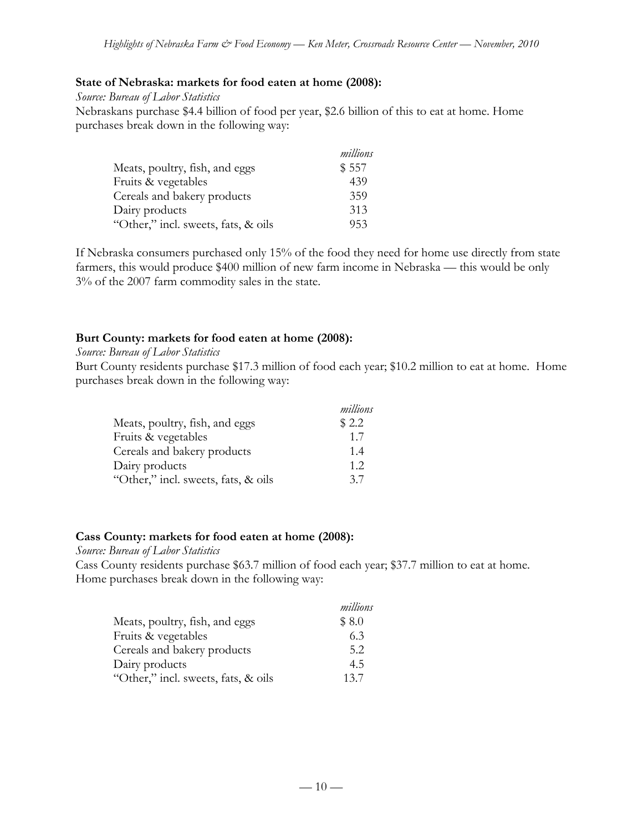## **State of Nebraska: markets for food eaten at home (2008):**

*Source: Bureau of Labor Statistics*

Nebraskans purchase \$4.4 billion of food per year, \$2.6 billion of this to eat at home. Home purchases break down in the following way:

|                                     | millions |
|-------------------------------------|----------|
| Meats, poultry, fish, and eggs      | \$557    |
| Fruits & vegetables                 | 439      |
| Cereals and bakery products         | 359      |
| Dairy products                      | 313      |
| "Other," incl. sweets, fats, & oils | 953      |

If Nebraska consumers purchased only 15% of the food they need for home use directly from state farmers, this would produce \$400 million of new farm income in Nebraska — this would be only 3% of the 2007 farm commodity sales in the state.

## **Burt County: markets for food eaten at home (2008):**

#### *Source: Bureau of Labor Statistics*

Burt County residents purchase \$17.3 million of food each year; \$10.2 million to eat at home. Home purchases break down in the following way:

|                                     | millions |
|-------------------------------------|----------|
| Meats, poultry, fish, and eggs      | \$2.2    |
| Fruits & vegetables                 | 1.7      |
| Cereals and bakery products         | 1.4      |
| Dairy products                      | 1.2.     |
| "Other," incl. sweets, fats, & oils | 3.7      |

#### **Cass County: markets for food eaten at home (2008):**

*Source: Bureau of Labor Statistics*

Cass County residents purchase \$63.7 million of food each year; \$37.7 million to eat at home. Home purchases break down in the following way:

|                                     | millions |
|-------------------------------------|----------|
| Meats, poultry, fish, and eggs      | \$8.0    |
| Fruits & vegetables                 | 6.3      |
| Cereals and bakery products         | 5.2      |
| Dairy products                      | 4.5      |
| "Other," incl. sweets, fats, & oils | 13.7     |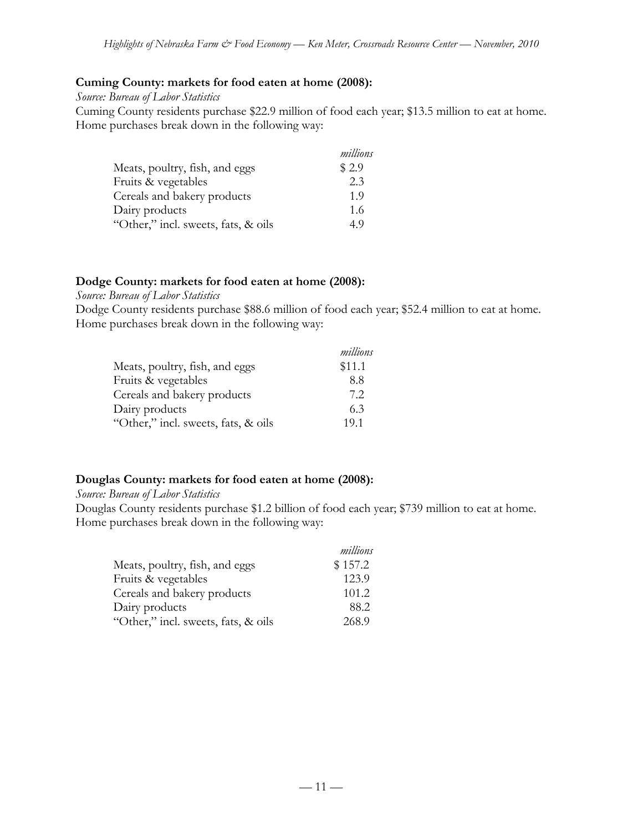#### **Cuming County: markets for food eaten at home (2008):**

*Source: Bureau of Labor Statistics*

Cuming County residents purchase \$22.9 million of food each year; \$13.5 million to eat at home. Home purchases break down in the following way:

|                                     | millions |
|-------------------------------------|----------|
| Meats, poultry, fish, and eggs      | \$2.9    |
| Fruits & vegetables                 | 2.3      |
| Cereals and bakery products         | 1.9      |
| Dairy products                      | 1.6      |
| "Other," incl. sweets, fats, & oils | 49       |

#### **Dodge County: markets for food eaten at home (2008):**

*Source: Bureau of Labor Statistics*

Dodge County residents purchase \$88.6 million of food each year; \$52.4 million to eat at home. Home purchases break down in the following way:

|                                     | millions |
|-------------------------------------|----------|
| Meats, poultry, fish, and eggs      | \$11.1   |
| Fruits & vegetables                 | 8.8      |
| Cereals and bakery products         | 7.2      |
| Dairy products                      | 63       |
| "Other," incl. sweets, fats, & oils | 19.1     |

#### **Douglas County: markets for food eaten at home (2008):**

*Source: Bureau of Labor Statistics*

Douglas County residents purchase \$1.2 billion of food each year; \$739 million to eat at home. Home purchases break down in the following way:

|                                     | millions |
|-------------------------------------|----------|
| Meats, poultry, fish, and eggs      | \$157.2  |
| Fruits & vegetables                 | 123.9    |
| Cereals and bakery products         | 101.2    |
| Dairy products                      | 88.2     |
| "Other," incl. sweets, fats, & oils | 268.9    |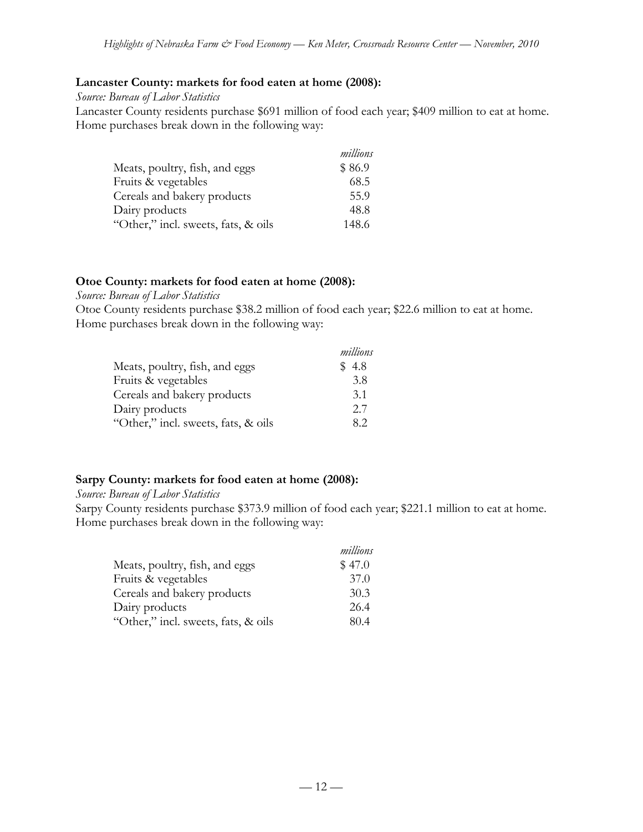## **Lancaster County: markets for food eaten at home (2008):**

*Source: Bureau of Labor Statistics*

Lancaster County residents purchase \$691 million of food each year; \$409 million to eat at home. Home purchases break down in the following way:

|                                     | millions |
|-------------------------------------|----------|
| Meats, poultry, fish, and eggs      | \$86.9   |
| Fruits & vegetables                 | 68.5     |
| Cereals and bakery products         | 55.9     |
| Dairy products                      | 48.8     |
| "Other," incl. sweets, fats, & oils | 148.6    |

## **Otoe County: markets for food eaten at home (2008):**

*Source: Bureau of Labor Statistics*

Otoe County residents purchase \$38.2 million of food each year; \$22.6 million to eat at home. Home purchases break down in the following way:

|                                     | millions |
|-------------------------------------|----------|
| Meats, poultry, fish, and eggs      | \$4.8    |
| Fruits & vegetables                 | 3.8      |
| Cereals and bakery products         | 3.1      |
| Dairy products                      | 2.7      |
| "Other," incl. sweets, fats, & oils | 82       |

# **Sarpy County: markets for food eaten at home (2008):**

*Source: Bureau of Labor Statistics*

Sarpy County residents purchase \$373.9 million of food each year; \$221.1 million to eat at home. Home purchases break down in the following way:

|                                     | millions |
|-------------------------------------|----------|
| Meats, poultry, fish, and eggs      | \$47.0   |
| Fruits & vegetables                 | 37.0     |
| Cereals and bakery products         | 30.3     |
| Dairy products                      | 26.4     |
| "Other," incl. sweets, fats, & oils | 80.4     |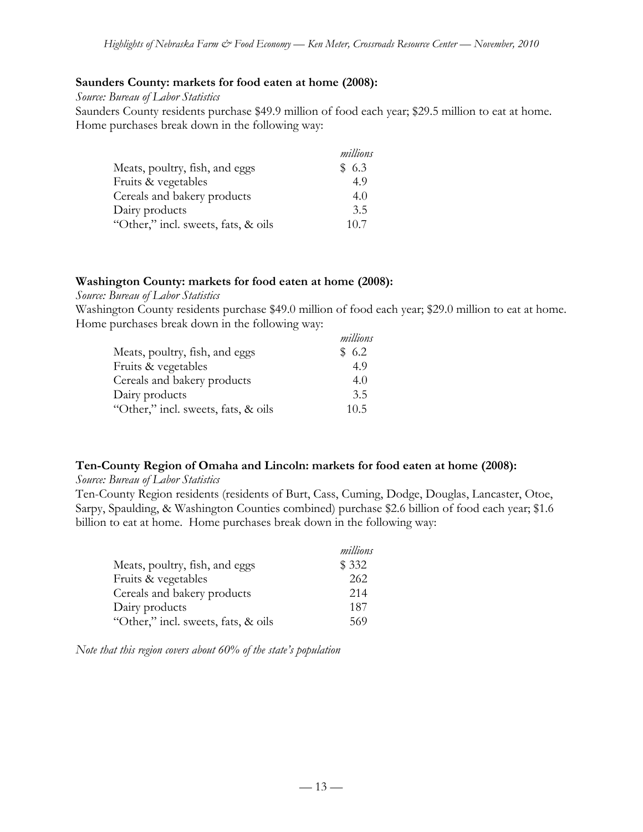#### **Saunders County: markets for food eaten at home (2008):**

*Source: Bureau of Labor Statistics*

Saunders County residents purchase \$49.9 million of food each year; \$29.5 million to eat at home. Home purchases break down in the following way:

|                                     | millions |
|-------------------------------------|----------|
| Meats, poultry, fish, and eggs      | \$6.3    |
| Fruits & vegetables                 | 4.9      |
| Cereals and bakery products         | 4.0      |
| Dairy products                      | 3.5      |
| "Other," incl. sweets, fats, & oils | 10.7     |

#### **Washington County: markets for food eaten at home (2008):**

#### *Source: Bureau of Labor Statistics*

Washington County residents purchase \$49.0 million of food each year; \$29.0 million to eat at home. Home purchases break down in the following way: *millions*

|                                     | millions |
|-------------------------------------|----------|
| Meats, poultry, fish, and eggs      | \$6.2    |
| Fruits & vegetables                 | 4.9      |
| Cereals and bakery products         | 4.0      |
| Dairy products                      | 3.5      |
| "Other," incl. sweets, fats, & oils | 10.5     |

#### **Ten-County Region of Omaha and Lincoln: markets for food eaten at home (2008):**

#### *Source: Bureau of Labor Statistics*

Ten-County Region residents (residents of Burt, Cass, Cuming, Dodge, Douglas, Lancaster, Otoe, Sarpy, Spaulding, & Washington Counties combined) purchase \$2.6 billion of food each year; \$1.6 billion to eat at home. Home purchases break down in the following way:

|                                     | millions |
|-------------------------------------|----------|
| Meats, poultry, fish, and eggs      | \$332    |
| Fruits & vegetables                 | 262      |
| Cereals and bakery products         | 214      |
| Dairy products                      | 187      |
| "Other," incl. sweets, fats, & oils | 569      |

*Note that this region covers about 60% of the state's population*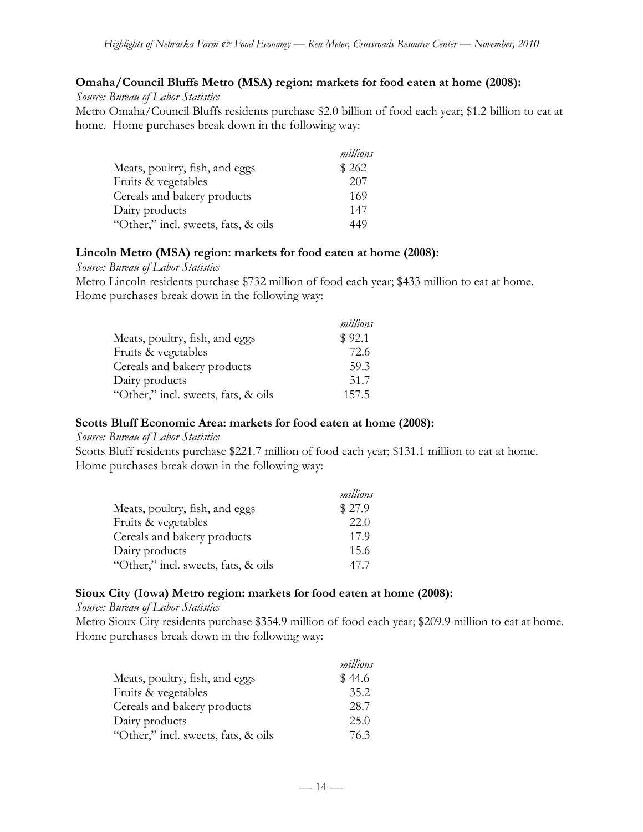## **Omaha/Council Bluffs Metro (MSA) region: markets for food eaten at home (2008):**

*Source: Bureau of Labor Statistics*

Metro Omaha/Council Bluffs residents purchase \$2.0 billion of food each year; \$1.2 billion to eat at home. Home purchases break down in the following way:

|                                     | millions |
|-------------------------------------|----------|
| Meats, poultry, fish, and eggs      | \$262    |
| Fruits & vegetables                 | 207      |
| Cereals and bakery products         | 169      |
| Dairy products                      | 147      |
| "Other," incl. sweets, fats, & oils | 449      |

#### **Lincoln Metro (MSA) region: markets for food eaten at home (2008):**

*Source: Bureau of Labor Statistics*

Metro Lincoln residents purchase \$732 million of food each year; \$433 million to eat at home. Home purchases break down in the following way:

|                                     | millions |
|-------------------------------------|----------|
| Meats, poultry, fish, and eggs      | \$92.1   |
| Fruits & vegetables                 | 72.6     |
| Cereals and bakery products         | 59.3     |
| Dairy products                      | 51.7     |
| "Other," incl. sweets, fats, & oils | 157.5    |

#### **Scotts Bluff Economic Area: markets for food eaten at home (2008):**

#### *Source: Bureau of Labor Statistics*

Scotts Bluff residents purchase \$221.7 million of food each year; \$131.1 million to eat at home. Home purchases break down in the following way:

|                                     | millions |
|-------------------------------------|----------|
| Meats, poultry, fish, and eggs      | \$27.9   |
| Fruits & vegetables                 | 22.0     |
| Cereals and bakery products         | 17.9     |
| Dairy products                      | 15.6     |
| "Other," incl. sweets, fats, & oils | 47.7     |

#### **Sioux City (Iowa) Metro region: markets for food eaten at home (2008):**

#### *Source: Bureau of Labor Statistics*

Metro Sioux City residents purchase \$354.9 million of food each year; \$209.9 million to eat at home. Home purchases break down in the following way:

|                                     | millions |
|-------------------------------------|----------|
| Meats, poultry, fish, and eggs      | \$44.6   |
| Fruits & vegetables                 | 35.2     |
| Cereals and bakery products         | 28.7     |
| Dairy products                      | 25.0     |
| "Other," incl. sweets, fats, & oils | 76.3     |